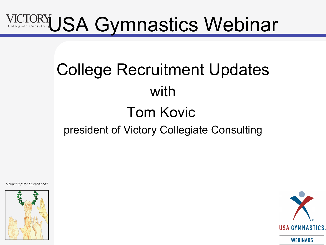# USA Gymnastics Webinar

## College Recruitment Updates with Tom Kovic president of Victory Collegiate Consulting



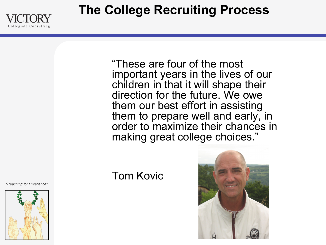**The College Recruiting Process** 



"These are four of the most important years in the lives of our children in that it will shape their direction for the future. We owe them our best effort in assisting them to prepare well and early, in order to maximize their chances in making great college choices."

### Tom Kovic



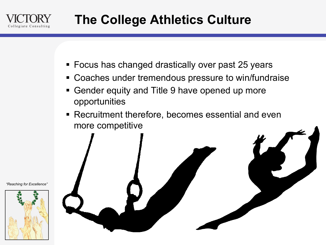

- Focus has changed drastically over past 25 years
- Coaches under tremendous pressure to win/fundraise
- Gender equity and Title 9 have opened up more opportunities
- Recruitment therefore, becomes essential and even more competitive

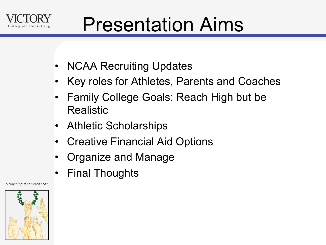

# Presentation Aims

- NCAA Recruiting Updates
- Key roles for Athletes, Parents and Coaches
- Family College Goals: Reach High but be Realistic
- Athletic Scholarships
- Creative Financial Aid Options
- Organize and Manage
- Final Thoughts

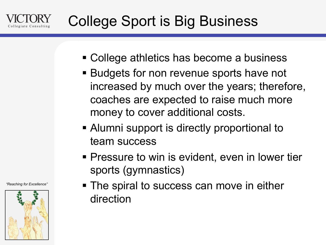

- College athletics has become a business
- Budgets for non revenue sports have not increased by much over the years; therefore, coaches are expected to raise much more money to cover additional costs.
- Alumni support is directly proportional to team success
- Pressure to win is evident, even in lower tier sports (gymnastics)
- The spiral to success can move in either direction

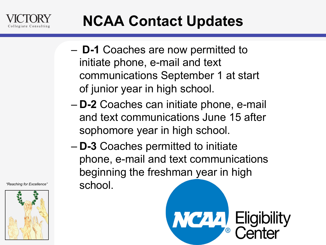

### **NCAA Contact Updates**

- **D-1** Coaches are now permitted to initiate phone, e-mail and text communications September 1 at start of junior year in high school.
- **D-2** Coaches can initiate phone, e-mail and text communications June 15 after sophomore year in high school.
- **D-3** Coaches permitted to initiate phone, e-mail and text communications beginning the freshman year in high school.



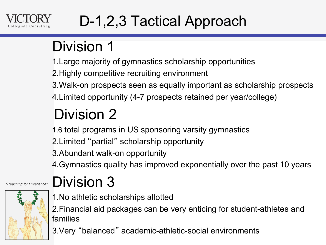

## D-1,2,3 Tactical Approach

### Division 1

1.Large majority of gymnastics scholarship opportunities

2.Highly competitive recruiting environment

3.Walk-on prospects seen as equally important as scholarship prospects

4.Limited opportunity (4-7 prospects retained per year/college)

## Division 2

1.6 total programs in US sponsoring varsity gymnastics

2.Limited "partial" scholarship opportunity

3.Abundant walk-on opportunity

4.Gymnastics quality has improved exponentially over the past 10 years



### Division 3

1.No athletic scholarships allotted

2.Financial aid packages can be very enticing for student-athletes and families

3.Very "balanced" academic-athletic-social environments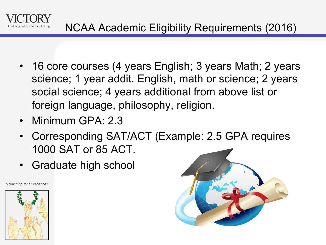

- 16 core courses (4 years English; 3 years Math; 2 years science; 1 year addit. English, math or science; 2 years social science; 4 years additional from above list or foreign language, philosophy, religion.
- Minimum GPA: 2.3
- Corresponding SAT/ACT (Example: 2.5 GPA requires 1000 SAT or 85 ACT.
- Graduate high school



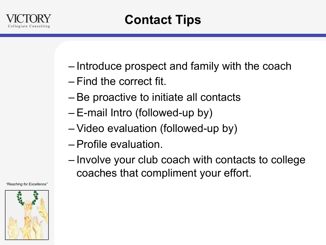

- Introduce prospect and family with the coach
- Find the correct fit.
- Be proactive to initiate all contacts
- E-mail Intro (followed-up by)
- Video evaluation (followed-up by)
- Profile evaluation.
- Involve your club coach with contacts to college coaches that compliment your effort.

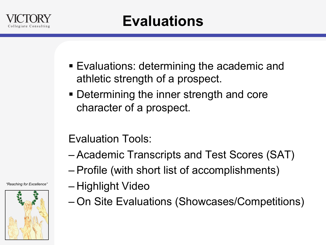

- Evaluations: determining the academic and athletic strength of a prospect.
- Determining the inner strength and core character of a prospect.

Evaluation Tools:

- Academic Transcripts and Test Scores (SAT)
- Profile (with short list of accomplishments)
- Highlight Video
- On Site Evaluations (Showcases/Competitions)

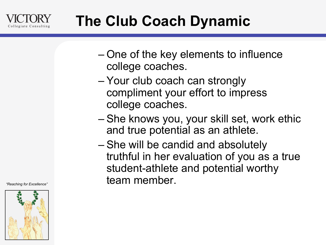

### **The Club Coach Dynamic**

- One of the key elements to influence college coaches.
- Your club coach can strongly compliment your effort to impress college coaches.
- She knows you, your skill set, work ethic and true potential as an athlete.
- She will be candid and absolutely truthful in her evaluation of you as a true student-athlete and potential worthy team member.

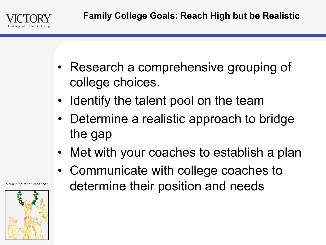

- Research a comprehensive grouping of college choices.
- Identify the talent pool on the team
- Determine a realistic approach to bridge the gap
- Met with your coaches to establish a plan
- Communicate with college coaches to determine their position and needs

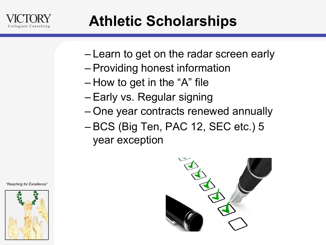

### **Athletic Scholarships**

- Learn to get on the radar screen early
- Providing honest information
- How to get in the "A" file
- Early vs. Regular signing
- One year contracts renewed annually
- BCS (Big Ten, PAC 12, SEC etc.) 5 year exception



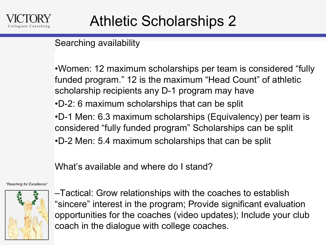### Searching availability

•Women: 12 maximum scholarships per team is considered "fully funded program." 12 is the maximum "Head Count" of athletic scholarship recipients any D-1 program may have

•D-2: 6 maximum scholarships that can be split

•D-1 Men: 6.3 maximum scholarships (Equivalency) per team is considered "fully funded program" Scholarships can be split

•D-2 Men: 5.4 maximum scholarships that can be split

What's available and where do I stand?

*"Reaching for Excellence"* 



–Tactical: Grow relationships with the coaches to establish "sincere" interest in the program; Provide significant evaluation opportunities for the coaches (video updates); Include your club coach in the dialogue with college coaches.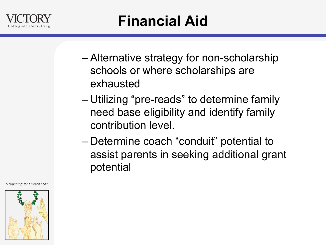

- Alternative strategy for non-scholarship schools or where scholarships are exhausted
- Utilizing "pre-reads" to determine family need base eligibility and identify family contribution level.
- Determine coach "conduit" potential to assist parents in seeking additional grant potential

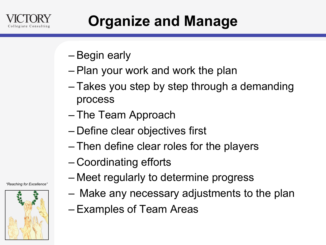

### **Organize and Manage**

- Begin early
- Plan your work and work the plan
- Takes you step by step through a demanding process
- The Team Approach
- Define clear objectives first
- Then define clear roles for the players
- Coordinating efforts
- Meet regularly to determine progress
- Make any necessary adjustments to the plan
- Examples of Team Areas

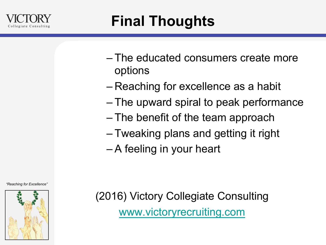

- The educated consumers create more options
- Reaching for excellence as a habit
- The upward spiral to peak performance
- The benefit of the team approach
- Tweaking plans and getting it right
- A feeling in your heart



(2016) Victory Collegiate Consulting www.victoryrecruiting.com